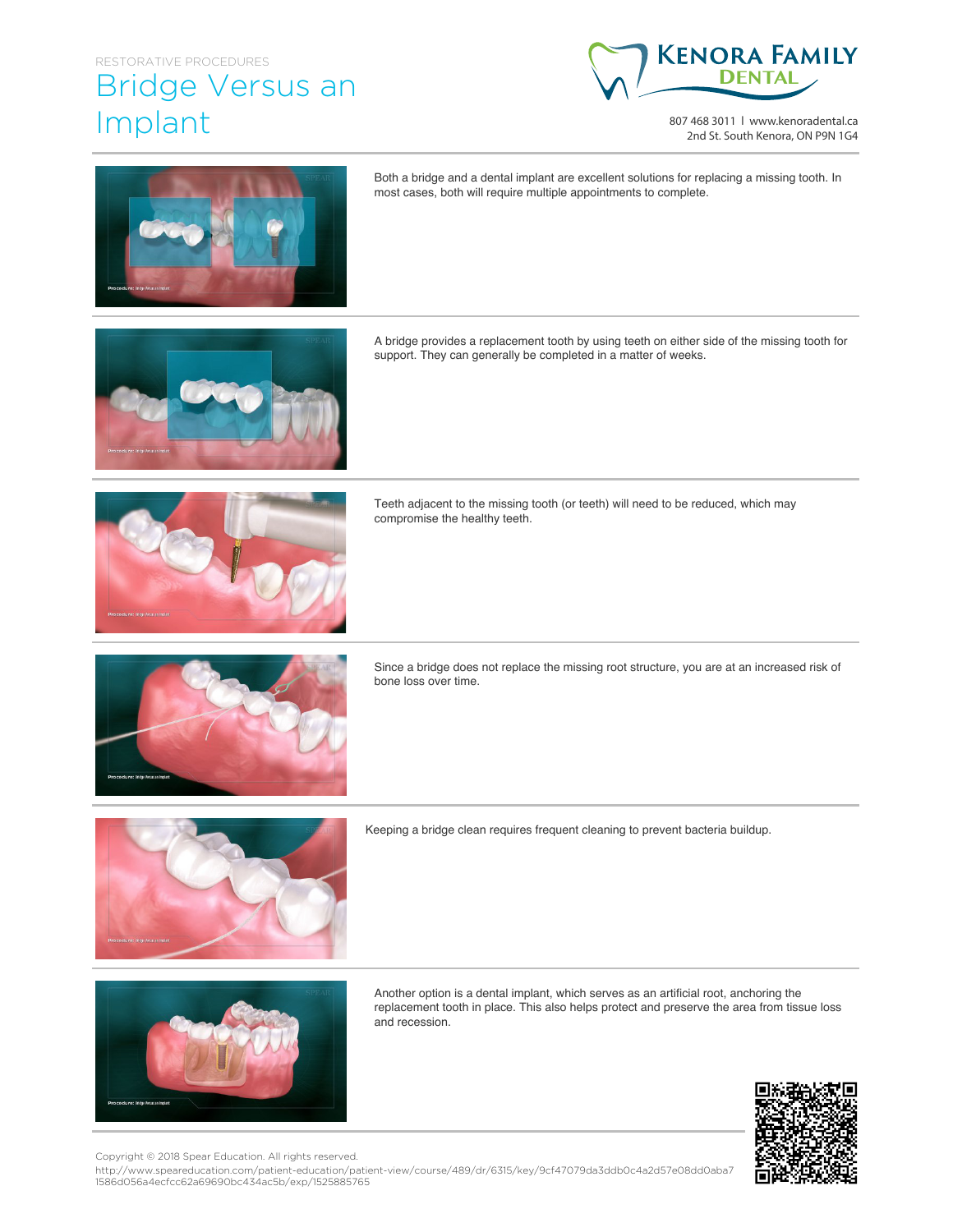## RESTORATIVE PROCEDURES

## Bridge Versus an Implant



807 468 3011 | www.kenoradental.ca 2nd St. South Kenora, ON P9N 1G4



Both a bridge and a dental implant are excellent solutions for replacing a missing tooth. In most cases, both will require multiple appointments to complete.

A bridge provides a replacement tooth by using teeth on either side of the missing tooth for support. They can generally be completed in a matter of weeks.



Teeth adjacent to the missing tooth (or teeth) will need to be reduced, which may compromise the healthy teeth.



Since a bridge does not replace the missing root structure, you are at an increased risk of bone loss over time.



Keeping a bridge clean requires frequent cleaning to prevent bacteria buildup.



Another option is a dental implant, which serves as an artificial root, anchoring the replacement tooth in place. This also helps protect and preserve the area from tissue loss and recession.



Copyright © 2018 Spear Education. All rights reserved.

http://www.speareducation.com/patient-education/patient-view/course/489/dr/6315/key/9cf47079da3ddb0c4a2d57e08dd0aba7 1586d056a4ecfcc62a69690bc434ac5b/exp/1525885765